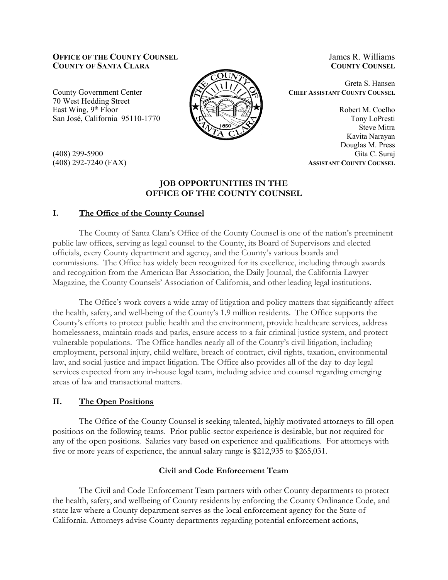### **OFFICE OF THE COUNTY COUNSEL COUNTY OF SANTA CLARA**

County Government Center 70 West Hedding Street East Wing, 9<sup>th</sup> Floor San José, California 95110-1770



(408) 299-5900 (408) 292-7240 (FAX)

# **JOB OPPORTUNITIES IN THE OFFICE OF THE COUNTY COUNSEL**

## **I. The Office of the County Counsel**

The County of Santa Clara's Office of the County Counsel is one of the nation's preeminent public law offices, serving as legal counsel to the County, its Board of Supervisors and elected officials, every County department and agency, and the County's various boards and commissions. The Office has widely been recognized for its excellence, including through awards and recognition from the American Bar Association, the Daily Journal, the California Lawyer Magazine, the County Counsels' Association of California, and other leading legal institutions.

The Office's work covers a wide array of litigation and policy matters that significantly affect the health, safety, and well-being of the County's 1.9 million residents. The Office supports the County's efforts to protect public health and the environment, provide healthcare services, address homelessness, maintain roads and parks, ensure access to a fair criminal justice system, and protect vulnerable populations. The Office handles nearly all of the County's civil litigation, including employment, personal injury, child welfare, breach of contract, civil rights, taxation, environmental law, and social justice and impact litigation. The Office also provides all of the day-to-day legal services expected from any in-house legal team, including advice and counsel regarding emerging areas of law and transactional matters.

## **II. The Open Positions**

The Office of the County Counsel is seeking talented, highly motivated attorneys to fill open positions on the following teams. Prior public-sector experience is desirable, but not required for any of the open positions. Salaries vary based on experience and qualifications. For attorneys with five or more years of experience, the annual salary range is \$212,935 to \$265,031.

### **Civil and Code Enforcement Team**

The Civil and Code Enforcement Team partners with other County departments to protect the health, safety, and wellbeing of County residents by enforcing the County Ordinance Code, and state law where a County department serves as the local enforcement agency for the State of California. Attorneys advise County departments regarding potential enforcement actions,

James R. Williams **COUNTY COUNSEL**

Greta S. Hansen **CHIEF ASSISTANT COUNTY COUNSEL**

> Robert M. Coelho Tony LoPresti Steve Mitra Kavita Narayan Douglas M. Press Gita C. Suraj **ASSISTANT COUNTY COUNSEL**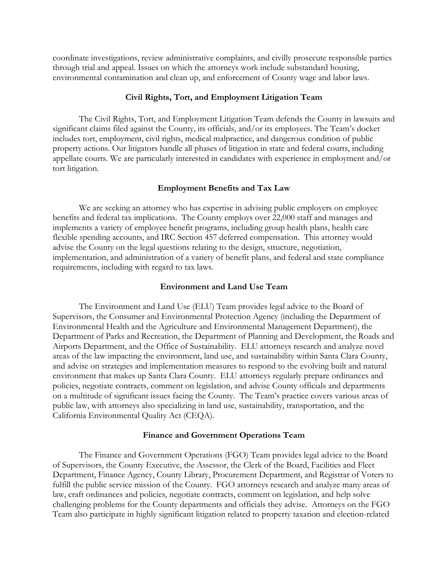coordinate investigations, review administrative complaints, and civilly prosecute responsible parties through trial and appeal. Issues on which the attorneys work include substandard housing, environmental contamination and clean up, and enforcement of County wage and labor laws.

### **Civil Rights, Tort, and Employment Litigation Team**

The Civil Rights, Tort, and Employment Litigation Team defends the County in lawsuits and significant claims filed against the County, its officials, and/or its employees. The Team's docket includes tort, employment, civil rights, medical malpractice, and dangerous condition of public property actions. Our litigators handle all phases of litigation in state and federal courts, including appellate courts. We are particularly interested in candidates with experience in employment and/or tort litigation.

#### **Employment Benefits and Tax Law**

We are seeking an attorney who has expertise in advising public employers on employee benefits and federal tax implications. The County employs over 22,000 staff and manages and implements a variety of employee benefit programs, including group health plans, health care flexible spending accounts, and IRC Section 457 deferred compensation. This attorney would advise the County on the legal questions relating to the design, structure, negotiation, implementation, and administration of a variety of benefit plans, and federal and state compliance requirements, including with regard to tax laws.

### **Environment and Land Use Team**

The Environment and Land Use (ELU) Team provides legal advice to the Board of Supervisors, the Consumer and Environmental Protection Agency (including the Department of Environmental Health and the Agriculture and Environmental Management Department), the Department of Parks and Recreation, the Department of Planning and Development, the Roads and Airports Department, and the Office of Sustainability. ELU attorneys research and analyze novel areas of the law impacting the environment, land use, and sustainability within Santa Clara County, and advise on strategies and implementation measures to respond to the evolving built and natural environment that makes up Santa Clara County. ELU attorneys regularly prepare ordinances and policies, negotiate contracts, comment on legislation, and advise County officials and departments on a multitude of significant issues facing the County. The Team's practice covers various areas of public law, with attorneys also specializing in land use, sustainability, transportation, and the California Environmental Quality Act (CEQA).

#### **Finance and Government Operations Team**

The Finance and Government Operations (FGO) Team provides legal advice to the Board of Supervisors, the County Executive, the Assessor, the Clerk of the Board, Facilities and Fleet Department, Finance Agency, County Library, Procurement Department, and Registrar of Voters to fulfill the public service mission of the County. FGO attorneys research and analyze many areas of law, craft ordinances and policies, negotiate contracts, comment on legislation, and help solve challenging problems for the County departments and officials they advise. Attorneys on the FGO Team also participate in highly significant litigation related to property taxation and election-related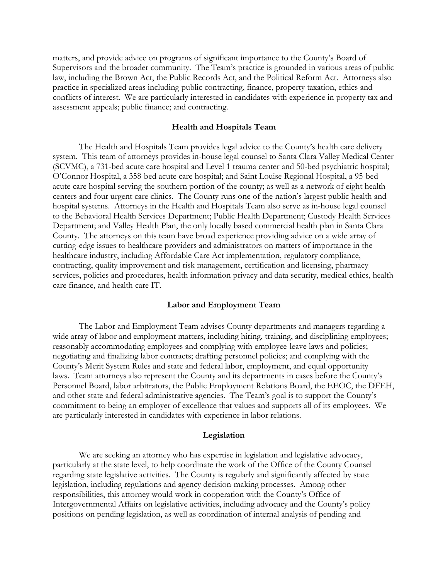matters, and provide advice on programs of significant importance to the County's Board of Supervisors and the broader community. The Team's practice is grounded in various areas of public law, including the Brown Act, the Public Records Act, and the Political Reform Act. Attorneys also practice in specialized areas including public contracting, finance, property taxation, ethics and conflicts of interest. We are particularly interested in candidates with experience in property tax and assessment appeals; public finance; and contracting.

#### **Health and Hospitals Team**

The Health and Hospitals Team provides legal advice to the County's health care delivery system. This team of attorneys provides in-house legal counsel to Santa Clara Valley Medical Center (SCVMC), a 731-bed acute care hospital and Level 1 trauma center and 50-bed psychiatric hospital; O'Connor Hospital, a 358-bed acute care hospital; and Saint Louise Regional Hospital, a 95-bed acute care hospital serving the southern portion of the county; as well as a network of eight health centers and four urgent care clinics. The County runs one of the nation's largest public health and hospital systems. Attorneys in the Health and Hospitals Team also serve as in-house legal counsel to the Behavioral Health Services Department; Public Health Department; Custody Health Services Department; and Valley Health Plan, the only locally based commercial health plan in Santa Clara County. The attorneys on this team have broad experience providing advice on a wide array of cutting-edge issues to healthcare providers and administrators on matters of importance in the healthcare industry, including Affordable Care Act implementation, regulatory compliance, contracting, quality improvement and risk management, certification and licensing, pharmacy services, policies and procedures, health information privacy and data security, medical ethics, health care finance, and health care IT.

#### **Labor and Employment Team**

The Labor and Employment Team advises County departments and managers regarding a wide array of labor and employment matters, including hiring, training, and disciplining employees; reasonably accommodating employees and complying with employee-leave laws and policies; negotiating and finalizing labor contracts; drafting personnel policies; and complying with the County's Merit System Rules and state and federal labor, employment, and equal opportunity laws. Team attorneys also represent the County and its departments in cases before the County's Personnel Board, labor arbitrators, the Public Employment Relations Board, the EEOC, the DFEH, and other state and federal administrative agencies. The Team's goal is to support the County's commitment to being an employer of excellence that values and supports all of its employees. We are particularly interested in candidates with experience in labor relations.

#### **Legislation**

We are seeking an attorney who has expertise in legislation and legislative advocacy, particularly at the state level, to help coordinate the work of the Office of the County Counsel regarding state legislative activities. The County is regularly and significantly affected by state legislation, including regulations and agency decision-making processes. Among other responsibilities, this attorney would work in cooperation with the County's Office of Intergovernmental Affairs on legislative activities, including advocacy and the County's policy positions on pending legislation, as well as coordination of internal analysis of pending and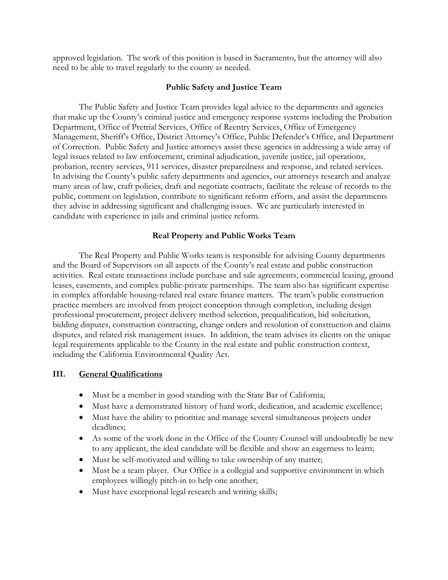approved legislation. The work of this position is based in Sacramento, but the attorney will also need to be able to travel regularly to the county as needed.

## **Public Safety and Justice Team**

The Public Safety and Justice Team provides legal advice to the departments and agencies that make up the County's criminal justice and emergency response systems including the Probation Department, Office of Pretrial Services, Office of Reentry Services, Office of Emergency Management, Sheriff's Office, District Attorney's Office, Public Defender's Office, and Department of Correction. Public Safety and Justice attorneys assist these agencies in addressing a wide array of legal issues related to law enforcement, criminal adjudication, juvenile justice, jail operations, probation, reentry services, 911 services, disaster preparedness and response, and related services. In advising the County's public safety departments and agencies, our attorneys research and analyze many areas of law, craft policies, draft and negotiate contracts, facilitate the release of records to the public, comment on legislation, contribute to significant reform efforts, and assist the departments they advise in addressing significant and challenging issues. We are particularly interested in candidate with experience in jails and criminal justice reform.

## **Real Property and Public Works Team**

The Real Property and Public Works team is responsible for advising County departments and the Board of Supervisors on all aspects of the County's real estate and public construction activities. Real estate transactions include purchase and sale agreements, commercial leasing, ground leases, easements, and complex public-private partnerships. The team also has significant expertise in complex affordable housing-related real estate finance matters. The team's public construction practice members are involved from project conception through completion, including design professional procurement, project delivery method selection, prequalification, bid solicitation, bidding disputes, construction contracting, change orders and resolution of construction and claims disputes, and related risk management issues. In addition, the team advises its clients on the unique legal requirements applicable to the County in the real estate and public construction context, including the California Environmental Quality Act.

## **III. General Qualifications**

- Must be a member in good standing with the State Bar of California;
- Must have a demonstrated history of hard work, dedication, and academic excellence;
- Must have the ability to prioritize and manage several simultaneous projects under deadlines;
- As some of the work done in the Office of the County Counsel will undoubtedly be new to any applicant, the ideal candidate will be flexible and show an eagerness to learn;
- Must be self-motivated and willing to take ownership of any matter;
- Must be a team player. Our Office is a collegial and supportive environment in which employees willingly pitch-in to help one another;
- Must have exceptional legal research and writing skills;